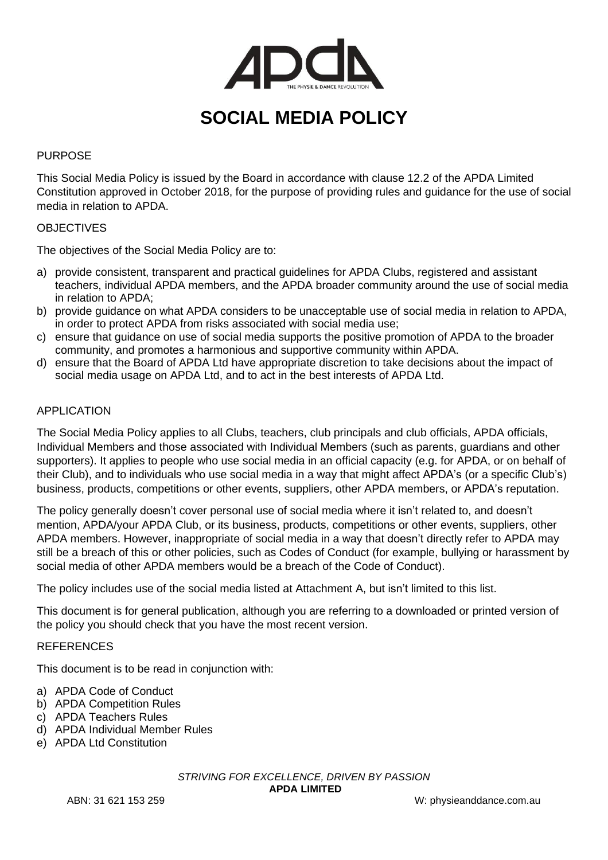

# **SOCIAL MEDIA POLICY**

## PURPOSE

This Social Media Policy is issued by the Board in accordance with clause 12.2 of the APDA Limited Constitution approved in October 2018, for the purpose of providing rules and guidance for the use of social media in relation to APDA.

#### **OBJECTIVES**

The objectives of the Social Media Policy are to:

- a) provide consistent, transparent and practical guidelines for APDA Clubs, registered and assistant teachers, individual APDA members, and the APDA broader community around the use of social media in relation to APDA;
- b) provide guidance on what APDA considers to be unacceptable use of social media in relation to APDA, in order to protect APDA from risks associated with social media use;
- c) ensure that guidance on use of social media supports the positive promotion of APDA to the broader community, and promotes a harmonious and supportive community within APDA.
- d) ensure that the Board of APDA Ltd have appropriate discretion to take decisions about the impact of social media usage on APDA Ltd, and to act in the best interests of APDA Ltd.

#### APPLICATION

The Social Media Policy applies to all Clubs, teachers, club principals and club officials, APDA officials, Individual Members and those associated with Individual Members (such as parents, guardians and other supporters). It applies to people who use social media in an official capacity (e.g. for APDA, or on behalf of their Club), and to individuals who use social media in a way that might affect APDA's (or a specific Club's) business, products, competitions or other events, suppliers, other APDA members, or APDA's reputation.

The policy generally doesn't cover personal use of social media where it isn't related to, and doesn't mention, APDA/your APDA Club, or its business, products, competitions or other events, suppliers, other APDA members. However, inappropriate of social media in a way that doesn't directly refer to APDA may still be a breach of this or other policies, such as Codes of Conduct (for example, bullying or harassment by social media of other APDA members would be a breach of the Code of Conduct).

The policy includes use of the social media listed at Attachment A, but isn't limited to this list.

This document is for general publication, although you are referring to a downloaded or printed version of the policy you should check that you have the most recent version.

#### REFERENCES

This document is to be read in conjunction with:

- a) APDA Code of Conduct
- b) APDA Competition Rules
- c) APDA Teachers Rules
- d) APDA Individual Member Rules
- e) APDA Ltd Constitution

*STRIVING FOR EXCELLENCE, DRIVEN BY PASSION* **APDA LIMITED**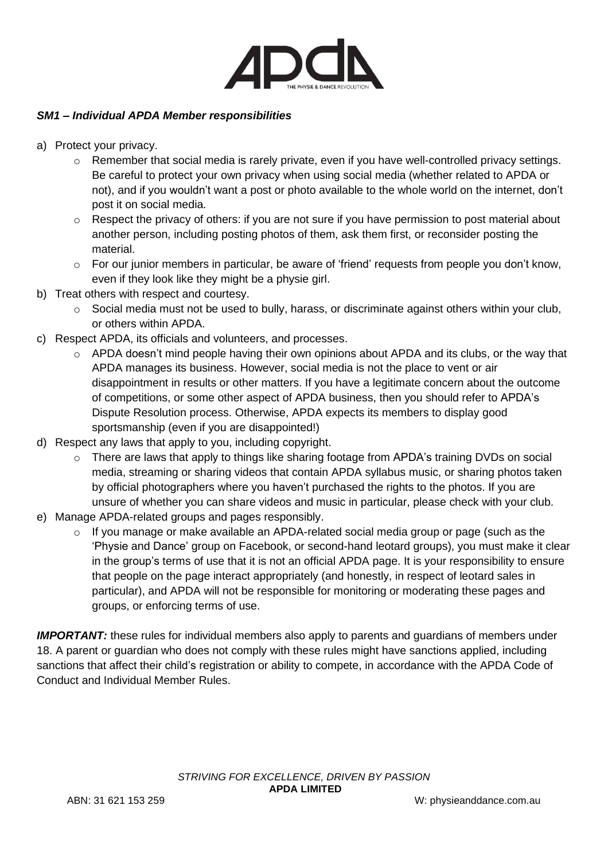

## *SM1 – Individual APDA Member responsibilities*

- a) Protect your privacy.
	- $\circ$  Remember that social media is rarely private, even if you have well-controlled privacy settings. Be careful to protect your own privacy when using social media (whether related to APDA or not), and if you wouldn't want a post or photo available to the whole world on the internet, don't post it on social media.
	- $\circ$  Respect the privacy of others: if you are not sure if you have permission to post material about another person, including posting photos of them, ask them first, or reconsider posting the material.
	- $\circ$  For our junior members in particular, be aware of 'friend' requests from people you don't know, even if they look like they might be a physie girl.
- b) Treat others with respect and courtesy.
	- $\circ$  Social media must not be used to bully, harass, or discriminate against others within your club, or others within APDA.
- c) Respect APDA, its officials and volunteers, and processes.
	- $\circ$  APDA doesn't mind people having their own opinions about APDA and its clubs, or the way that APDA manages its business. However, social media is not the place to vent or air disappointment in results or other matters. If you have a legitimate concern about the outcome of competitions, or some other aspect of APDA business, then you should refer to APDA's Dispute Resolution process. Otherwise, APDA expects its members to display good sportsmanship (even if you are disappointed!)
- d) Respect any laws that apply to you, including copyright.
	- o There are laws that apply to things like sharing footage from APDA's training DVDs on social media, streaming or sharing videos that contain APDA syllabus music, or sharing photos taken by official photographers where you haven't purchased the rights to the photos. If you are unsure of whether you can share videos and music in particular, please check with your club.
- e) Manage APDA-related groups and pages responsibly.
	- $\circ$  If you manage or make available an APDA-related social media group or page (such as the 'Physie and Dance' group on Facebook, or second-hand leotard groups), you must make it clear in the group's terms of use that it is not an official APDA page. It is your responsibility to ensure that people on the page interact appropriately (and honestly, in respect of leotard sales in particular), and APDA will not be responsible for monitoring or moderating these pages and groups, or enforcing terms of use.

**IMPORTANT:** these rules for individual members also apply to parents and quardians of members under 18. A parent or guardian who does not comply with these rules might have sanctions applied, including sanctions that affect their child's registration or ability to compete, in accordance with the APDA Code of Conduct and Individual Member Rules.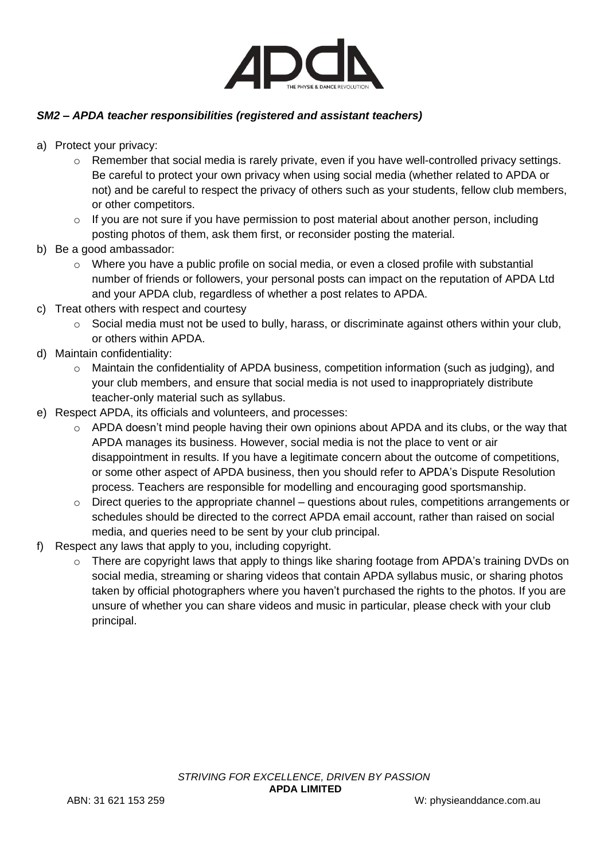

# *SM2 – APDA teacher responsibilities (registered and assistant teachers)*

- a) Protect your privacy:
	- $\circ$  Remember that social media is rarely private, even if you have well-controlled privacy settings. Be careful to protect your own privacy when using social media (whether related to APDA or not) and be careful to respect the privacy of others such as your students, fellow club members, or other competitors.
	- $\circ$  If you are not sure if you have permission to post material about another person, including posting photos of them, ask them first, or reconsider posting the material.
- b) Be a good ambassador:
	- $\circ$  Where you have a public profile on social media, or even a closed profile with substantial number of friends or followers, your personal posts can impact on the reputation of APDA Ltd and your APDA club, regardless of whether a post relates to APDA.
- c) Treat others with respect and courtesy
	- o Social media must not be used to bully, harass, or discriminate against others within your club, or others within APDA.
- d) Maintain confidentiality:
	- $\circ$  Maintain the confidentiality of APDA business, competition information (such as judging), and your club members, and ensure that social media is not used to inappropriately distribute teacher-only material such as syllabus.
- e) Respect APDA, its officials and volunteers, and processes:
	- $\circ$  APDA doesn't mind people having their own opinions about APDA and its clubs, or the way that APDA manages its business. However, social media is not the place to vent or air disappointment in results. If you have a legitimate concern about the outcome of competitions, or some other aspect of APDA business, then you should refer to APDA's Dispute Resolution process. Teachers are responsible for modelling and encouraging good sportsmanship.
	- $\circ$  Direct queries to the appropriate channel questions about rules, competitions arrangements or schedules should be directed to the correct APDA email account, rather than raised on social media, and queries need to be sent by your club principal.
- f) Respect any laws that apply to you, including copyright.
	- $\circ$  There are copyright laws that apply to things like sharing footage from APDA's training DVDs on social media, streaming or sharing videos that contain APDA syllabus music, or sharing photos taken by official photographers where you haven't purchased the rights to the photos. If you are unsure of whether you can share videos and music in particular, please check with your club principal.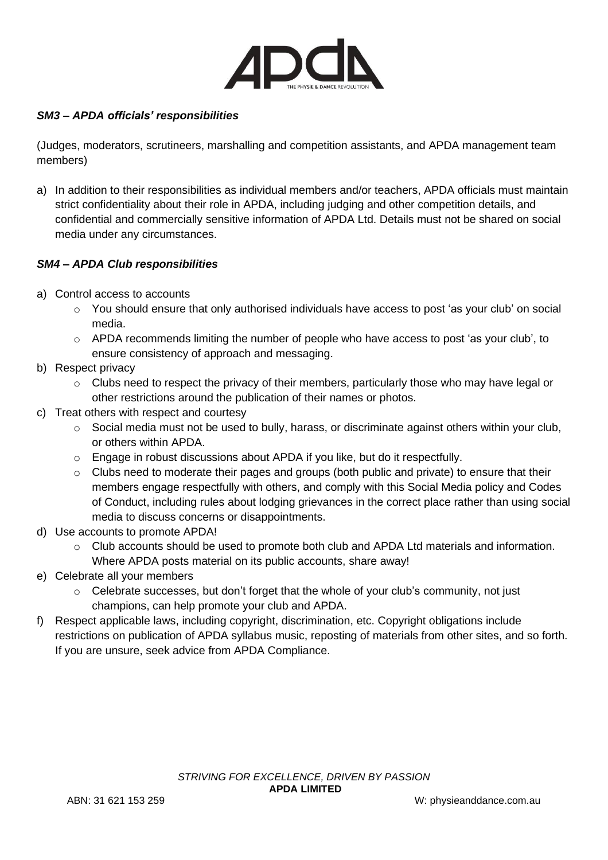

# *SM3 – APDA officials' responsibilities*

(Judges, moderators, scrutineers, marshalling and competition assistants, and APDA management team members)

a) In addition to their responsibilities as individual members and/or teachers, APDA officials must maintain strict confidentiality about their role in APDA, including judging and other competition details, and confidential and commercially sensitive information of APDA Ltd. Details must not be shared on social media under any circumstances.

## *SM4 – APDA Club responsibilities*

- a) Control access to accounts
	- $\circ$  You should ensure that only authorised individuals have access to post 'as your club' on social media.
	- o APDA recommends limiting the number of people who have access to post 'as your club', to ensure consistency of approach and messaging.
- b) Respect privacy
	- $\circ$  Clubs need to respect the privacy of their members, particularly those who may have legal or other restrictions around the publication of their names or photos.
- c) Treat others with respect and courtesy
	- $\circ$  Social media must not be used to bully, harass, or discriminate against others within your club, or others within APDA.
	- o Engage in robust discussions about APDA if you like, but do it respectfully.
	- $\circ$  Clubs need to moderate their pages and groups (both public and private) to ensure that their members engage respectfully with others, and comply with this Social Media policy and Codes of Conduct, including rules about lodging grievances in the correct place rather than using social media to discuss concerns or disappointments.
- d) Use accounts to promote APDA!
	- $\circ$  Club accounts should be used to promote both club and APDA Ltd materials and information. Where APDA posts material on its public accounts, share away!
- e) Celebrate all your members
	- $\circ$  Celebrate successes, but don't forget that the whole of your club's community, not just champions, can help promote your club and APDA.
- f) Respect applicable laws, including copyright, discrimination, etc. Copyright obligations include restrictions on publication of APDA syllabus music, reposting of materials from other sites, and so forth. If you are unsure, seek advice from APDA Compliance.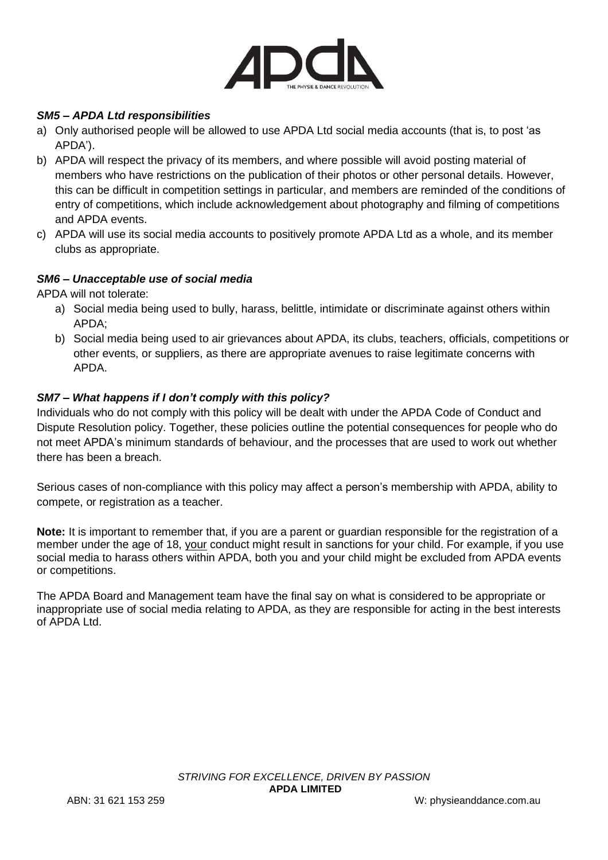

## *SM5 – APDA Ltd responsibilities*

- a) Only authorised people will be allowed to use APDA Ltd social media accounts (that is, to post 'as APDA').
- b) APDA will respect the privacy of its members, and where possible will avoid posting material of members who have restrictions on the publication of their photos or other personal details. However, this can be difficult in competition settings in particular, and members are reminded of the conditions of entry of competitions, which include acknowledgement about photography and filming of competitions and APDA events.
- c) APDA will use its social media accounts to positively promote APDA Ltd as a whole, and its member clubs as appropriate.

## *SM6 – Unacceptable use of social media*

APDA will not tolerate:

- a) Social media being used to bully, harass, belittle, intimidate or discriminate against others within APDA;
- b) Social media being used to air grievances about APDA, its clubs, teachers, officials, competitions or other events, or suppliers, as there are appropriate avenues to raise legitimate concerns with APDA.

## *SM7 – What happens if I don't comply with this policy?*

Individuals who do not comply with this policy will be dealt with under the APDA Code of Conduct and Dispute Resolution policy. Together, these policies outline the potential consequences for people who do not meet APDA's minimum standards of behaviour, and the processes that are used to work out whether there has been a breach.

Serious cases of non-compliance with this policy may affect a person's membership with APDA, ability to compete, or registration as a teacher.

**Note:** It is important to remember that, if you are a parent or guardian responsible for the registration of a member under the age of 18, your conduct might result in sanctions for your child. For example, if you use social media to harass others within APDA, both you and your child might be excluded from APDA events or competitions.

The APDA Board and Management team have the final say on what is considered to be appropriate or inappropriate use of social media relating to APDA, as they are responsible for acting in the best interests of APDA Ltd.